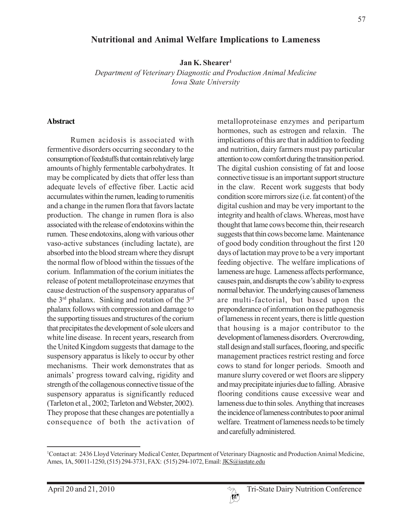### **Nutritional and Animal Welfare Implications to Lameness**

**Jan K. Shearer1**

*Department of Veterinary Diagnostic and Production Animal Medicine Iowa State University*

#### **Abstract**

Rumen acidosis is associated with fermentive disorders occurring secondary to the consumption of feedstuffs that contain relatively large amounts of highly fermentable carbohydrates. It may be complicated by diets that offer less than adequate levels of effective fiber. Lactic acid accumulates within the rumen, leading to rumenitis and a change in the rumen flora that favors lactate production. The change in rumen flora is also associated with the release of endotoxins within the rumen. These endotoxins, along with various other vaso-active substances (including lactate), are absorbed into the blood stream where they disrupt the normal flow of blood within the tissues of the corium. Inflammation of the corium initiates the release of potent metalloproteinase enzymes that cause destruction of the suspensory apparatus of the 3rd phalanx. Sinking and rotation of the 3rd phalanx follows with compression and damage to the supporting tissues and structures of the corium that precipitates the development of sole ulcers and white line disease. In recent years, research from the United Kingdom suggests that damage to the suspensory apparatus is likely to occur by other mechanisms. Their work demonstrates that as animals' progress toward calving, rigidity and strength of the collagenous connective tissue of the suspensory apparatus is significantly reduced (Tarleton et al., 2002; Tarleton and Webster, 2002). They propose that these changes are potentially a consequence of both the activation of metalloproteinase enzymes and peripartum hormones, such as estrogen and relaxin. The implications of this are that in addition to feeding and nutrition, dairy farmers must pay particular attention to cow comfort during the transition period. The digital cushion consisting of fat and loose connective tissue is an important support structure in the claw. Recent work suggests that body condition score mirrors size (i.e. fat content) of the digital cushion and may be very important to the integrity and health of claws. Whereas, most have thought that lame cows become thin, their research suggests that thin cows become lame. Maintenance of good body condition throughout the first 120 days of lactation may prove to be a very important feeding objective. The welfare implications of lameness are huge. Lameness affects performance, causes pain, and disrupts the cow's ability to express normal behavior. The underlying causes of lameness are multi-factorial, but based upon the preponderance of information on the pathogenesis of lameness in recent years, there is little question that housing is a major contributor to the development of lameness disorders. Overcrowding, stall design and stall surfaces, flooring, and specific management practices restrict resting and force cows to stand for longer periods. Smooth and manure slurry covered or wet floors are slippery and may precipitate injuries due to falling. Abrasive flooring conditions cause excessive wear and lameness due to thin soles. Anything that increases the incidence of lameness contributes to poor animal welfare. Treatment of lameness needs to be timely and carefully administered.

 $W$ 

<sup>1</sup> Contact at: 2436 Lloyd Veterinary Medical Center, Department of Veterinary Diagnostic and Production Animal Medicine, Ames, IA, 50011-1250, (515) 294-3731, FAX: (515) 294-1072, Email: *JKS@iastate.edu*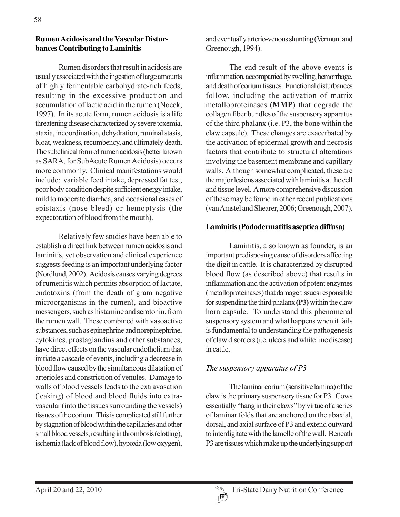### **Rumen Acidosis and the Vascular Disturbances Contributing to Laminitis**

Rumen disorders that result in acidosis are usually associated with the ingestion of large amounts of highly fermentable carbohydrate-rich feeds, resulting in the excessive production and accumulation of lactic acid in the rumen (Nocek, 1997). In its acute form, rumen acidosis is a life threatening disease characterized by severe toxemia, ataxia, incoordination, dehydration, ruminal stasis, bloat, weakness, recumbency, and ultimately death. The subclinical form of rumen acidosis (better known as SARA, for SubAcute Rumen Acidosis) occurs more commonly. Clinical manifestations would include: variable feed intake, depressed fat test, poor body condition despite sufficient energy intake, mild to moderate diarrhea, and occasional cases of epistaxis (nose-bleed) or hemoptysis (the expectoration of blood from the mouth).

Relatively few studies have been able to establish a direct link between rumen acidosis and laminitis, yet observation and clinical experience suggests feeding is an important underlying factor (Nordlund, 2002). Acidosis causes varying degrees of rumenitis which permits absorption of lactate, endotoxins (from the death of gram negative microorganisms in the rumen), and bioactive messengers, such as histamine and serotonin, from the rumen wall. These combined with vasoactive substances, such as epinephrine and norepinephrine, cytokines, prostaglandins and other substances, have direct effects on the vascular endothelium that initiate a cascade of events, including a decrease in blood flow caused by the simultaneous dilatation of arterioles and constriction of venules. Damage to walls of blood vessels leads to the extravasation (leaking) of blood and blood fluids into extravascular (into the tissues surrounding the vessels) tissues of the corium. This is complicated still further by stagnation of blood within the capillaries and other small blood vessels, resulting in thrombosis (clotting), ischemia (lack of blood flow), hypoxia (low oxygen),

and eventually arterio-venous shunting (Vermunt and Greenough, 1994).

The end result of the above events is inflammation, accompanied by swelling, hemorrhage, and death of corium tissues. Functional disturbances follow, including the activation of matrix metalloproteinases **(MMP)** that degrade the collagen fiber bundles of the suspensory apparatus of the third phalanx (i.e. P3, the bone within the claw capsule). These changes are exacerbated by the activation of epidermal growth and necrosis factors that contribute to structural alterations involving the basement membrane and capillary walls. Although somewhat complicated, these are the major lesions associated with laminitis at the cell and tissue level. A more comprehensive discussion of these may be found in other recent publications (van Amstel and Shearer, 2006; Greenough, 2007).

### **Laminitis (Pododermatitis aseptica diffusa)**

Laminitis, also known as founder, is an important predisposing cause of disorders affecting the digit in cattle. It is characterized by disrupted blood flow (as described above) that results in inflammation and the activation of potent enzymes (metalloproteinases) that damage tissues responsible for suspending the third phalanx **(P3)** within the claw horn capsule. To understand this phenomenal suspensory system and what happens when it fails is fundamental to understanding the pathogenesis of claw disorders (i.e. ulcers and white line disease) in cattle.

# *The suspensory apparatus of P3*

The laminar corium (sensitive lamina) of the claw is the primary suspensory tissue for P3. Cows essentially "hang in their claws" by virtue of a series of laminar folds that are anchored on the abaxial, dorsal, and axial surface of P3 and extend outward to interdigitate with the lamelle of the wall. Beneath P3 are tissues which make up the underlying support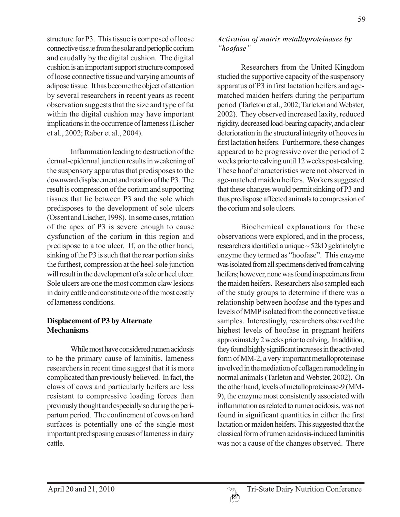structure for P3. This tissue is composed of loose connective tissue from the solar and perioplic corium and caudally by the digital cushion. The digital cushion is an important support structure composed of loose connective tissue and varying amounts of adipose tissue. It has become the object of attention by several researchers in recent years as recent observation suggests that the size and type of fat within the digital cushion may have important implications in the occurrence of lameness (Lischer et al., 2002; Raber et al., 2004).

Inflammation leading to destruction of the dermal-epidermal junction results in weakening of the suspensory apparatus that predisposes to the downward displacement and rotation of the P3. The result is compression of the corium and supporting tissues that lie between P3 and the sole which predisposes to the development of sole ulcers (Ossent and Lischer, 1998). In some cases, rotation of the apex of P3 is severe enough to cause dysfunction of the corium in this region and predispose to a toe ulcer. If, on the other hand, sinking of the P3 is such that the rear portion sinks the furthest, compression at the heel-sole junction will result in the development of a sole or heel ulcer. Sole ulcers are one the most common claw lesions in dairy cattle and constitute one of the most costly of lameness conditions.

# **Displacement of P3 by Alternate Mechanisms**

While most have considered rumen acidosis to be the primary cause of laminitis, lameness researchers in recent time suggest that it is more complicated than previously believed. In fact, the claws of cows and particularly heifers are less resistant to compressive loading forces than previously thought and especially so during the peripartum period. The confinement of cows on hard surfaces is potentially one of the single most important predisposing causes of lameness in dairy cattle.

### *Activation of matrix metalloproteinases by "hoofase"*

Researchers from the United Kingdom studied the supportive capacity of the suspensory apparatus of P3 in first lactation heifers and agematched maiden heifers during the peripartum period (Tarleton et al., 2002; Tarleton and Webster, 2002). They observed increased laxity, reduced rigidity, decreased load-bearing capacity, and a clear deterioration in the structural integrity of hooves in first lactation heifers. Furthermore, these changes appeared to be progressive over the period of 2 weeks prior to calving until 12 weeks post-calving. These hoof characteristics were not observed in age-matched maiden heifers. Workers suggested that these changes would permit sinking of P3 and thus predispose affected animals to compression of the corium and sole ulcers.

Biochemical explanations for these observations were explored, and in the process, researchers identified a unique ~ 52kD gelatinolytic enzyme they termed as "hoofase". This enzyme was isolated from all specimens derived from calving heifers; however, none was found in specimens from the maiden heifers. Researchers also sampled each of the study groups to determine if there was a relationship between hoofase and the types and levels of MMP isolated from the connective tissue samples. Interestingly, researchers observed the highest levels of hoofase in pregnant heifers approximately 2 weeks prior to calving. In addition, they found highly significant increases in the activated form of MM-2, a very important metalloproteinase involved in the mediation of collagen remodeling in normal animals (Tarleton and Webster, 2002). On the other hand, levels of metalloproteinase-9 (MM-9), the enzyme most consistently associated with inflammation as related to rumen acidosis, was not found in significant quantities in either the first lactation or maiden heifers. This suggested that the classical form of rumen acidosis-induced laminitis was not a cause of the changes observed. There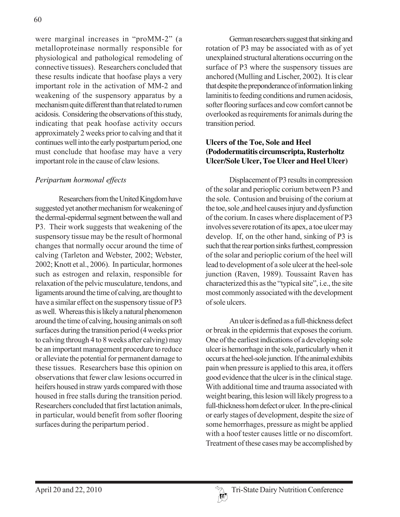were marginal increases in "proMM-2" (a metalloproteinase normally responsible for physiological and pathological remodeling of connective tissues). Researchers concluded that these results indicate that hoofase plays a very important role in the activation of MM-2 and weakening of the suspensory apparatus by a mechanism quite different than that related to rumen acidosis. Considering the observations of this study, indicating that peak hoofase activity occurs approximately 2 weeks prior to calving and that it continues well into the early postpartum period, one must conclude that hoofase may have a very important role in the cause of claw lesions.

# *Peripartum hormonal effects*

Researchers from the United Kingdom have suggested yet another mechanism for weakening of the dermal-epidermal segment between the wall and P3. Their work suggests that weakening of the suspensory tissue may be the result of hormonal changes that normally occur around the time of calving (Tarleton and Webster, 2002; Webster, 2002; Knott et al., 2006). In particular, hormones such as estrogen and relaxin, responsible for relaxation of the pelvic musculature, tendons, and ligaments around the time of calving, are thought to have a similar effect on the suspensory tissue of P3 as well. Whereas this is likely a natural phenomenon around the time of calving, housing animals on soft surfaces during the transition period (4 weeks prior to calving through 4 to 8 weeks after calving) may be an important management procedure to reduce or alleviate the potential for permanent damage to these tissues. Researchers base this opinion on observations that fewer claw lesions occurred in heifers housed in straw yards compared with those housed in free stalls during the transition period. Researchers concluded that first lactation animals, in particular, would benefit from softer flooring surfaces during the peripartum period .

German researchers suggest that sinking and rotation of P3 may be associated with as of yet unexplained structural alterations occurring on the surface of P3 where the suspensory tissues are anchored (Mulling and Lischer, 2002). It is clear that despite the preponderance of information linking laminitis to feeding conditions and rumen acidosis, softer flooring surfaces and cow comfort cannot be overlooked as requirements for animals during the transition period.

# **Ulcers of the Toe, Sole and Heel (Pododermatitis circumscripta, Rusterholtz Ulcer/Sole Ulcer, Toe Ulcer and Heel Ulcer)**

Displacement of P3 results in compression of the solar and perioplic corium between P3 and the sole. Contusion and bruising of the corium at the toe, sole ,and heel causes injury and dysfunction of the corium. In cases where displacement of P3 involves severe rotation of its apex, a toe ulcer may develop. If, on the other hand, sinking of P3 is such that the rear portion sinks furthest, compression of the solar and perioplic corium of the heel will lead to development of a sole ulcer at the heel-sole junction (Raven, 1989). Toussaint Raven has characterized this as the "typical site", i.e., the site most commonly associated with the development of sole ulcers.

An ulcer is defined as a full-thickness defect or break in the epidermis that exposes the corium. One of the earliest indications of a developing sole ulcer is hemorrhage in the sole, particularly when it occurs at the heel-sole junction. If the animal exhibits pain when pressure is applied to this area, it offers good evidence that the ulcer is in the clinical stage. With additional time and trauma associated with weight bearing, this lesion will likely progress to a full-thickness horn defect or ulcer. In the pre-clinical or early stages of development, despite the size of some hemorrhages, pressure as might be applied with a hoof tester causes little or no discomfort. Treatment of these cases may be accomplished by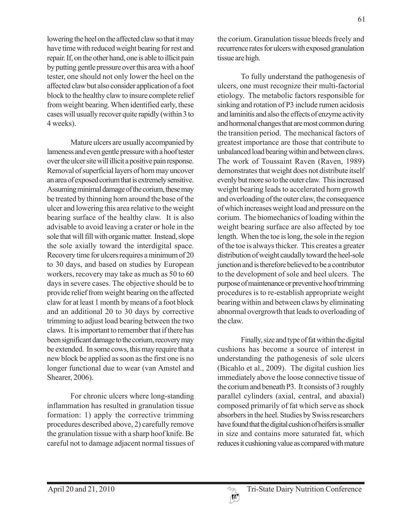lowering the heel on the affected claw so that it may have time with reduced weight bearing for rest and repair. If, on the other hand, one is able to illicit pain by putting gentle pressure over this area with a hoof tester, one should not only lower the heel on the affected claw but also consider application of a foot block to the healthy claw to insure complete relief from weight bearing. When identified early, these cases will usually recover quite rapidly (within 3 to 4 weeks).

Mature ulcers are usually accompanied by lameness and even gentle pressure with a hoof tester over the ulcer site will illicit a positive pain response. Removal of superficial layers of horn may uncover an area of exposed corium that is extremely sensitive. Assuming minimal damage of the corium, these may be treated by thinning horn around the base of the ulcer and lowering this area relative to the weight bearing surface of the healthy claw. It is also advisable to avoid leaving a crater or hole in the sole that will fill with organic matter. Instead, slope the sole axially toward the interdigital space. Recovery time for ulcers requires a minimum of 20 to 30 days, and based on studies by European workers, recovery may take as much as 50 to 60 days in severe cases. The objective should be to provide relief from weight bearing on the affected claw for at least 1 month by means of a foot block and an additional 20 to 30 days by corrective trimming to adjust load bearing between the two claws. It is important to remember that if there has been significant damage to the corium, recovery may be extended. In some cows, this may require that a new block be applied as soon as the first one is no longer functional due to wear (van Amstel and Shearer, 2006).

For chronic ulcers where long-standing inflammation has resulted in granulation tissue formation: 1) apply the corrective trimming procedures described above, 2) carefully remove the granulation tissue with a sharp hoof knife. Be careful not to damage adjacent normal tissues of the corium. Granulation tissue bleeds freely and recurrence rates for ulcers with exposed granulation tissue are high.

To fully understand the pathogenesis of ulcers, one must recognize their multi-factorial etiology. The metabolic factors responsible for sinking and rotation of P3 include rumen acidosis and laminitis and also the effects of enzyme activity and hormonal changes that are most common during the transition period. The mechanical factors of greatest importance are those that contribute to unbalanced load bearing within and between claws. The work of Toussaint Raven (Raven, 1989) demonstrates that weight does not distribute itself evenly but more so to the outer claw. This increased weight bearing leads to accelerated horn growth and overloading of the outer claw, the consequence of which increases weight load and pressure on the corium. The biomechanics of loading within the weight bearing surface are also affected by toe length. When the toe is long, the sole in the region of the toe is always thicker. This creates a greater distribution of weight caudally toward the heel-sole junction and is therefore believed to be a contributor to the development of sole and heel ulcers. The purpose of maintenance or preventive hoof trimming procedures is to re-establish appropriate weight bearing within and between claws by eliminating abnormal overgrowth that leads to overloading of the claw.

Finally, size and type of fat within the digital cushions has become a source of interest in understanding the pathogenesis of sole ulcers (Bicahlo et al., 2009). The digital cushion lies immediately above the loose connective tissue of the corium and beneath P3. It consists of 3 roughly parallel cylinders (axial, central, and abaxial) composed primarily of fat which serve as shock absorbers in the heel. Studies by Swiss researchers have found that the digital cushion of heifers is smaller in size and contains more saturated fat, which reduces it cushioning value as compared with mature

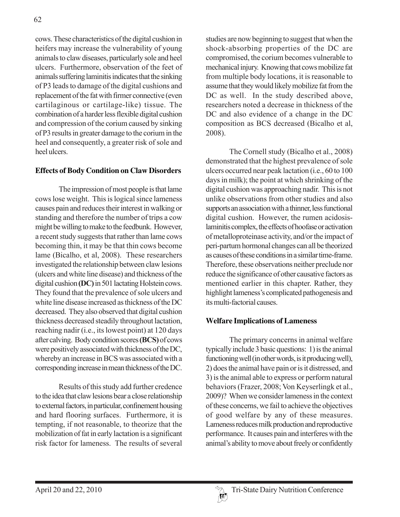cows. These characteristics of the digital cushion in heifers may increase the vulnerability of young animals to claw diseases, particularly sole and heel ulcers. Furthermore, observation of the feet of animals suffering laminitis indicates that the sinking of P3 leads to damage of the digital cushions and replacement of the fat with firmer connective (even cartilaginous or cartilage-like) tissue. The combination of a harder less flexible digital cushion and compression of the corium caused by sinking of P3 results in greater damage to the corium in the heel and consequently, a greater risk of sole and heel ulcers.

### **Effects of Body Condition on Claw Disorders**

The impression of most people is that lame cows lose weight. This is logical since lameness causes pain and reduces their interest in walking or standing and therefore the number of trips a cow might be willing to make to the feedbunk. However, a recent study suggests that rather than lame cows becoming thin, it may be that thin cows become lame (Bicalho, et al, 2008). These researchers investigated the relationship between claw lesions (ulcers and white line disease) and thickness of the digital cushion **(DC)** in 501 lactating Holstein cows. They found that the prevalence of sole ulcers and white line disease increased as thickness of the DC decreased. They also observed that digital cushion thickness decreased steadily throughout lactation, reaching nadir (i.e., its lowest point) at 120 days after calving. Body condition scores **(BCS)** of cows were positively associated with thickness of the DC, whereby an increase in BCS was associated with a corresponding increase in mean thickness of the DC.

Results of this study add further credence to the idea that claw lesions bear a close relationship to external factors, in particular, confinement housing and hard flooring surfaces. Furthermore, it is tempting, if not reasonable, to theorize that the mobilization of fat in early lactation is a significant risk factor for lameness. The results of several

studies are now beginning to suggest that when the shock-absorbing properties of the DC are compromised, the corium becomes vulnerable to mechanical injury. Knowing that cows mobilize fat from multiple body locations, it is reasonable to assume that they would likely mobilize fat from the DC as well. In the study described above, researchers noted a decrease in thickness of the DC and also evidence of a change in the DC composition as BCS decreased (Bicalho et al, 2008).

The Cornell study (Bicalho et al., 2008) demonstrated that the highest prevalence of sole ulcers occurred near peak lactation (i.e., 60 to 100 days in milk); the point at which shrinking of the digital cushion was approaching nadir. This is not unlike observations from other studies and also supports an association with a thinner, less functional digital cushion. However, the rumen acidosislaminitis complex, the effects of hoofase or activation of metalloproteinase activity, and/or the impact of peri-partum hormonal changes can all be theorized as causes of these conditions in a similar time-frame. Therefore, these observations neither preclude nor reduce the significance of other causative factors as mentioned earlier in this chapter. Rather, they highlight lameness's complicated pathogenesis and its multi-factorial causes.

#### **Welfare Implications of Lameness**

The primary concerns in animal welfare typically include 3 basic questions: 1) is the animal functioning well (in other words, is it producing well), 2) does the animal have pain or is it distressed, and 3) is the animal able to express or perform natural behaviors (Frazer, 2008; Von Keyserlingk et al., 2009)? When we consider lameness in the context of these concerns, we fail to achieve the objectives of good welfare by any of these measures. Lameness reduces milk production and reproductive performance. It causes pain and interferes with the animal's ability to move about freely or confidently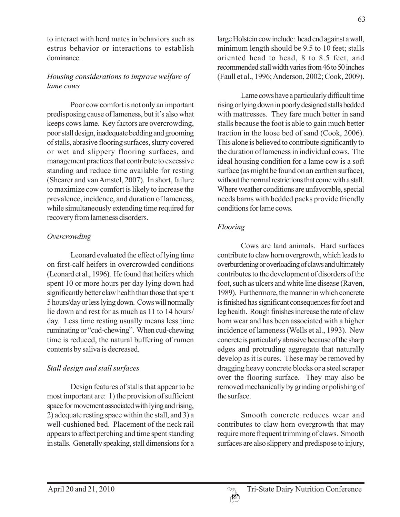to interact with herd mates in behaviors such as estrus behavior or interactions to establish dominance.

# *Housing considerations to improve welfare of lame cows*

Poor cow comfort is not only an important predisposing cause of lameness, but it's also what keeps cows lame. Key factors are overcrowding, poor stall design, inadequate bedding and grooming of stalls, abrasive flooring surfaces, slurry covered or wet and slippery flooring surfaces, and management practices that contribute to excessive standing and reduce time available for resting (Shearer and van Amstel, 2007). In short, failure to maximize cow comfort is likely to increase the prevalence, incidence, and duration of lameness, while simultaneously extending time required for recovery from lameness disorders.

# *Overcrowding*

Leonard evaluated the effect of lying time on first-calf heifers in overcrowded conditions (Leonard et al., 1996). He found that heifers which spent 10 or more hours per day lying down had significantly better claw health than those that spent 5 hours/day or less lying down. Cows will normally lie down and rest for as much as 11 to 14 hours/ day. Less time resting usually means less time ruminating or "cud-chewing". When cud-chewing time is reduced, the natural buffering of rumen contents by saliva is decreased.

# *Stall design and stall surfaces*

Design features of stalls that appear to be most important are: 1) the provision of sufficient space for movement associated with lying and rising, 2) adequate resting space within the stall, and 3) a well-cushioned bed. Placement of the neck rail appears to affect perching and time spent standing in stalls. Generally speaking, stall dimensions for a

large Holstein cow include: head end against a wall, minimum length should be 9.5 to 10 feet; stalls oriented head to head, 8 to 8.5 feet, and recommended stall width varies from 46 to 50 inches (Faull et al., 1996; Anderson, 2002; Cook, 2009).

Lame cows have a particularly difficult time rising or lying down in poorly designed stalls bedded with mattresses. They fare much better in sand stalls because the foot is able to gain much better traction in the loose bed of sand (Cook, 2006). This alone is believed to contribute significantly to the duration of lameness in individual cows. The ideal housing condition for a lame cow is a soft surface (as might be found on an earthen surface), without the normal restrictions that come with a stall. Where weather conditions are unfavorable, special needs barns with bedded packs provide friendly conditions for lame cows.

# *Flooring*

Cows are land animals. Hard surfaces contribute to claw horn overgrowth, which leads to overburdening or overloading of claws and ultimately contributes to the development of disorders of the foot, such as ulcers and white line disease (Raven, 1989). Furthermore, the manner in which concrete is finished has significant consequences for foot and leg health. Rough finishes increase the rate of claw horn wear and has been associated with a higher incidence of lameness (Wells et al., 1993). New concrete is particularly abrasive because of the sharp edges and protruding aggregate that naturally develop as it is cures. These may be removed by dragging heavy concrete blocks or a steel scraper over the flooring surface. They may also be removed mechanically by grinding or polishing of the surface.

Smooth concrete reduces wear and contributes to claw horn overgrowth that may require more frequent trimming of claws. Smooth surfaces are also slippery and predispose to injury,

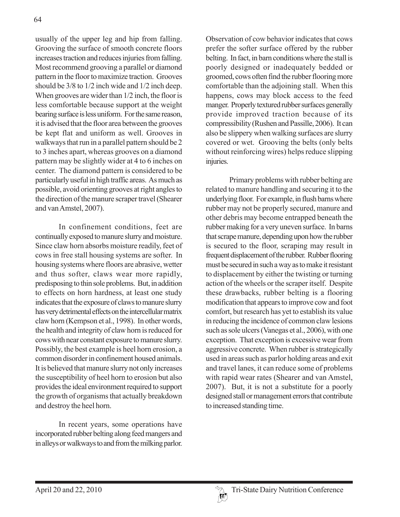usually of the upper leg and hip from falling. Grooving the surface of smooth concrete floors increases traction and reduces injuries from falling. Most recommend grooving a parallel or diamond pattern in the floor to maximize traction. Grooves should be 3/8 to 1/2 inch wide and 1/2 inch deep. When grooves are wider than 1/2 inch, the floor is less comfortable because support at the weight bearing surface is less uniform. For the same reason, it is advised that the floor area between the grooves be kept flat and uniform as well. Grooves in walkways that run in a parallel pattern should be 2 to 3 inches apart, whereas grooves on a diamond pattern may be slightly wider at 4 to 6 inches on center. The diamond pattern is considered to be particularly useful in high traffic areas. As much as possible, avoid orienting grooves at right angles to the direction of the manure scraper travel (Shearer and van Amstel, 2007).

In confinement conditions, feet are continually exposed to manure slurry and moisture. Since claw horn absorbs moisture readily, feet of cows in free stall housing systems are softer. In housing systems where floors are abrasive, wetter and thus softer, claws wear more rapidly, predisposing to thin sole problems. But, in addition to effects on horn hardness, at least one study indicates that the exposure of claws to manure slurry has very detrimental effects on the intercellular matrix claw horn (Kempson et al., 1998). In other words, the health and integrity of claw horn is reduced for cows with near constant exposure to manure slurry. Possibly, the best example is heel horn erosion, a common disorder in confinement housed animals. It is believed that manure slurry not only increases the susceptibility of heel horn to erosion but also provides the ideal environment required to support the growth of organisms that actually breakdown and destroy the heel horn.

In recent years, some operations have incorporated rubber belting along feed mangers and in alleys or walkways to and from the milking parlor. Observation of cow behavior indicates that cows prefer the softer surface offered by the rubber belting. In fact, in barn conditions where the stall is poorly designed or inadequately bedded or groomed, cows often find the rubber flooring more comfortable than the adjoining stall. When this happens, cows may block access to the feed manger. Properly textured rubber surfaces generally provide improved traction because of its compressibility (Rushen and Passille, 2006). It can also be slippery when walking surfaces are slurry covered or wet. Grooving the belts (only belts without reinforcing wires) helps reduce slipping injuries.

Primary problems with rubber belting are related to manure handling and securing it to the underlying floor. For example, in flush barns where rubber may not be properly secured, manure and other debris may become entrapped beneath the rubber making for a very uneven surface. In barns that scrape manure, depending upon how the rubber is secured to the floor, scraping may result in frequent displacement of the rubber. Rubber flooring must be secured in such a way as to make it resistant to displacement by either the twisting or turning action of the wheels or the scraper itself. Despite these drawbacks, rubber belting is a flooring modification that appears to improve cow and foot comfort, but research has yet to establish its value in reducing the incidence of common claw lesions such as sole ulcers (Vanegas et al., 2006), with one exception. That exception is excessive wear from aggressive concrete. When rubber is strategically used in areas such as parlor holding areas and exit and travel lanes, it can reduce some of problems with rapid wear rates (Shearer and van Amstel, 2007). But, it is not a substitute for a poorly designed stall or management errors that contribute to increased standing time.

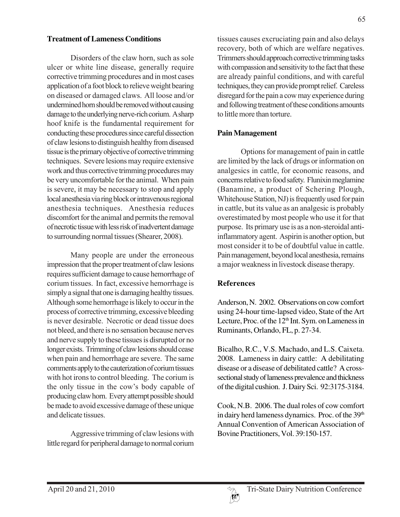#### **Treatment of Lameness Conditions**

Disorders of the claw horn, such as sole ulcer or white line disease, generally require corrective trimming procedures and in most cases application of a foot block to relieve weight bearing on diseased or damaged claws. All loose and/or undermined horn should be removed without causing damage to the underlying nerve-rich corium. A sharp hoof knife is the fundamental requirement for conducting these procedures since careful dissection of claw lesions to distinguish healthy from diseased tissue is the primary objective of corrective trimming techniques. Severe lesions may require extensive work and thus corrective trimming procedures may be very uncomfortable for the animal. When pain is severe, it may be necessary to stop and apply local anesthesia via ring block or intravenous regional anesthesia techniques. Anesthesia reduces discomfort for the animal and permits the removal of necrotic tissue with less risk of inadvertent damage to surrounding normal tissues (Shearer, 2008).

Many people are under the erroneous impression that the proper treatment of claw lesions requires sufficient damage to cause hemorrhage of corium tissues. In fact, excessive hemorrhage is simply a signal that one is damaging healthy tissues. Although some hemorrhage is likely to occur in the process of corrective trimming, excessive bleeding is never desirable. Necrotic or dead tissue does not bleed, and there is no sensation because nerves and nerve supply to these tissues is disrupted or no longer exists. Trimming of claw lesions should cease when pain and hemorrhage are severe. The same comments apply to the cauterization of corium tissues with hot irons to control bleeding. The corium is the only tissue in the cow's body capable of producing claw horn. Every attempt possible should be made to avoid excessive damage of these unique and delicate tissues.

Aggressive trimming of claw lesions with little regard for peripheral damage to normal corium tissues causes excruciating pain and also delays recovery, both of which are welfare negatives. Trimmers should approach corrective trimming tasks with compassion and sensitivity to the fact that these are already painful conditions, and with careful techniques, they can provide prompt relief. Careless disregard for the pain a cow may experience during and following treatment of these conditions amounts to little more than torture.

#### **Pain Management**

Options for management of pain in cattle are limited by the lack of drugs or information on analgesics in cattle, for economic reasons, and concerns relative to food safety. Flunixin meglamine (Banamine, a product of Schering Plough, Whitehouse Station, NJ) is frequently used for pain in cattle, but its value as an analgesic is probably overestimated by most people who use it for that purpose. Its primary use is as a non-steroidal antiinflammatory agent. Aspirin is another option, but most consider it to be of doubtful value in cattle. Pain management, beyond local anesthesia, remains a major weakness in livestock disease therapy.

#### **References**

Anderson, N. 2002. Observations on cow comfort using 24-hour time-lapsed video, State of the Art Lecture, Proc. of the 12<sup>th</sup> Int. Sym. on Lameness in Ruminants, Orlando, FL, p. 27-34.

Bicalho, R.C., V.S. Machado, and L.S. Caixeta. 2008. Lameness in dairy cattle: A debilitating disease or a disease of debilitated cattle? A crosssectional study of lameness prevalence and thickness of the digital cushion. J. Dairy Sci. 92:3175-3184.

Cook, N.B. 2006. The dual roles of cow comfort in dairy herd lameness dynamics. Proc. of the 39<sup>th</sup> Annual Convention of American Association of Bovine Practitioners, Vol. 39:150-157.

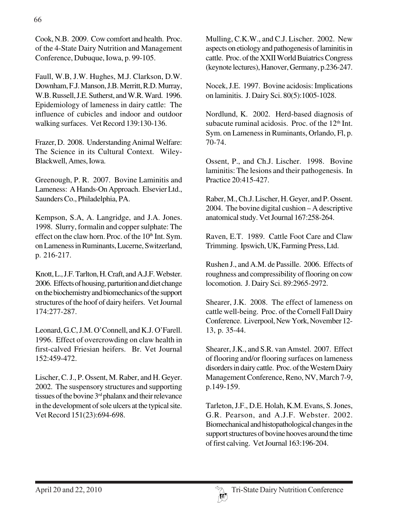Faull, W.B, J.W. Hughes, M.J. Clarkson, D.W. Downham, F.J. Manson, J.B. Merritt, R.D. Murray, W.B. Russell, J.E. Sutherst, and W.R. Ward. 1996. Epidemiology of lameness in dairy cattle: The influence of cubicles and indoor and outdoor walking surfaces. Vet Record 139:130-136.

Frazer, D. 2008. Understanding Animal Welfare: The Science in its Cultural Context. Wiley-Blackwell, Ames, Iowa.

Greenough, P. R. 2007. Bovine Laminitis and Lameness: A Hands-On Approach. Elsevier Ltd., Saunders Co., Philadelphia, PA.

Kempson, S.A, A. Langridge, and J.A. Jones. 1998. Slurry, formalin and copper sulphate: The effect on the claw horn. Proc. of the  $10<sup>th</sup>$  Int. Sym. on Lameness in Ruminants, Lucerne, Switzerland, p. 216-217.

Knott, L., J.F. Tarlton, H. Craft, and A.J.F. Webster. 2006. Effects of housing, parturition and diet change on the biochemistry and biomechanics of the support structures of the hoof of dairy heifers. Vet Journal 174:277-287.

Leonard, G.C, J.M. O'Connell, and K.J. O'Farell. 1996. Effect of overcrowding on claw health in first-calved Friesian heifers. Br. Vet Journal 152:459-472.

Lischer, C. J., P. Ossent, M. Raber, and H. Geyer. 2002. The suspensory structures and supporting tissues of the bovine 3<sup>rd</sup> phalanx and their relevance in the development of sole ulcers at the typical site. Vet Record 151(23):694-698.

Mulling, C.K.W., and C.J. Lischer. 2002. New aspects on etiology and pathogenesis of laminitis in cattle. Proc. of the XXII World Buiatrics Congress (keynote lectures), Hanover, Germany, p.236-247.

Nocek, J.E. 1997. Bovine acidosis: Implications on laminitis. J. Dairy Sci. 80(5):1005-1028.

Nordlund, K. 2002. Herd-based diagnosis of subacute ruminal acidosis. Proc. of the  $12<sup>th</sup>$  Int. Sym. on Lameness in Ruminants, Orlando, Fl, p. 70-74.

Ossent, P., and Ch.J. Lischer. 1998. Bovine laminitis: The lesions and their pathogenesis. In Practice 20:415-427.

Raber, M., Ch.J. Lischer, H. Geyer, and P. Ossent. 2004. The bovine digital cushion – A descriptive anatomical study. Vet Journal 167:258-264.

Raven, E.T. 1989. Cattle Foot Care and Claw Trimming. Ipswich, UK, Farming Press, Ltd.

Rushen J., and A.M. de Passille. 2006. Effects of roughness and compressibility of flooring on cow locomotion. J. Dairy Sci. 89:2965-2972.

Shearer, J.K. 2008. The effect of lameness on cattle well-being. Proc. of the Cornell Fall Dairy Conference. Liverpool, New York, November 12- 13, p. 35-44.

Shearer, J.K., and S.R. van Amstel. 2007. Effect of flooring and/or flooring surfaces on lameness disorders in dairy cattle. Proc. of the Western Dairy Management Conference, Reno, NV, March 7-9, p.149-159.

Tarleton, J.F., D.E. Holah, K.M. Evans, S. Jones, G.R. Pearson, and A.J.F. Webster. 2002. Biomechanical and histopathological changes in the support structures of bovine hooves around the time of first calving. Vet Journal 163:196-204.